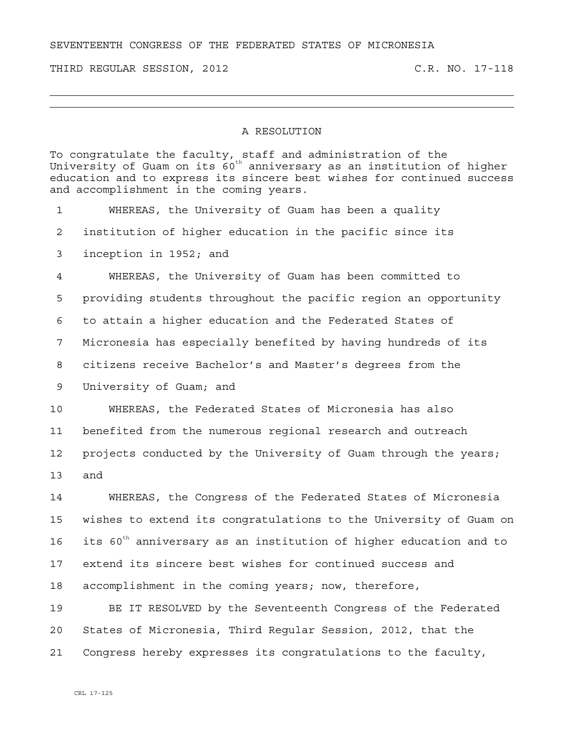SEVENTEENTH CONGRESS OF THE FEDERATED STATES OF MICRONESIA

THIRD REGULAR SESSION, 2012 C.R. NO. 17-118

## A RESOLUTION

To congratulate the faculty, staff and administration of the University of Guam on its  $60^{\text{th}}$  anniversary as an institution of higher education and to express its sincere best wishes for continued success and accomplishment in the coming years. 1 WHEREAS, the University of Guam has been a quality 2 institution of higher education in the pacific since its 3 inception in 1952; and 4 WHEREAS, the University of Guam has been committed to 5 providing students throughout the pacific region an opportunity 6 to attain a higher education and the Federated States of 7 Micronesia has especially benefited by having hundreds of its 8 citizens receive Bachelor's and Master's degrees from the 9 University of Guam; and 10 WHEREAS, the Federated States of Micronesia has also 11 benefited from the numerous regional research and outreach 12 projects conducted by the University of Guam through the years; 13 and 14 WHEREAS, the Congress of the Federated States of Micronesia 15 wishes to extend its congratulations to the University of Guam on 16 its  $60^{th}$  anniversary as an institution of higher education and to 17 extend its sincere best wishes for continued success and 18 accomplishment in the coming years; now, therefore, 19 BE IT RESOLVED by the Seventeenth Congress of the Federated 20 States of Micronesia, Third Regular Session, 2012, that the 21 Congress hereby expresses its congratulations to the faculty,